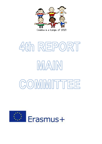

# 4th REPORT IMATIN COMMITTEE

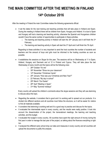# **THE MAIN COMMITTEE AFTER THE MEETING IN FINLAND 14th October 2016**

After the meeting in Finland the main Committee makes the following agreements official:

- It set the dates for the next training and teaching activities that will take place in Holland and Spain. During the meeting in Holland there will be children from Spain, Hungary and Holland. It is due to Spain and Hungary will host a learning and teaching activity, otherwise the Spanish and Hungarians children wouldn't have the same number of opportunities to participate in these activities.
	- $\circ$  The learning and teaching activity in Holland will start the 30<sup>th</sup> January and it will finish the 3<sup>rd</sup> February.
	- $\circ$  The learning and teaching activity in Spain will start the 3<sup>rd</sup> April and it will finish the 7th April.

Regarding to these activities it is very important to send the host countries the number of students and teachers and the amount of boys and girls must be informed to the hosting countries as soon as possible.

- It establishes the sessions on Skype for this year. The sessions will be on Wednesday at 11 in Spain, Holland, Hungary and Denmark and at 12 in Finland and Cyprus. They will take place the last Wednesday of every month and the topics will be the following ones:
	- o 26<sup>th</sup> October "It's me"
	- o 30<sup>th</sup> November "Show me your classroom"
	- o 14<sup>th</sup> December "Christmas Carols"
	- $\circ$  25<sup>th</sup> January "How was your Christmas and New Year?"
	- $\circ$  22 February "My day in school"
	- o 29<sup>th</sup> March "Our Easter"
	- $\circ$  26<sup>th</sup> April "Meeting in Spain"
	- o 31st May "Summer holidays"

Every country will upload the children's comments about the skype sessions and they will use etwinning to discuss about the topic.

- Regarding the website, it considers that is good and it is working well to spread out our products. It is divided into different sections and all countries must follow the structure, so it will be easier for visitors to find all materials available.
- It considers that etwinning is working well and it's a good way to practice and discuss for the topics.
- It evaluated the intermediate report in every country, and the results were really positive. It took into account the dissemination of the project, the transnational meetings, the learning and teaching activities, and the budget.
- It evaluated the budget in every country. All countries have spent the right amount of money during the first year in order to manage the last year of the project, so talking about the finances everything is right too.
- It analyzed the different early school drop out rates and measures in every country and all countries will upload the documents to justify this analysis.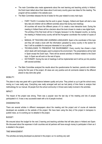- The main Committee also made agreements about the next learning and teaching activity in Holland. the Dutch team talked about their ideas about it and every country gave new ideas for this meeting. The program will be available in the website soon.
- The Main Committee releases the list of duties for this year related to every main topic:
	- $\circ$  FAIRY TALES: It considers that the work is great, Hungary, Holland and Spain will start a new fairy tale and children will do different activities about that during next meetings. All countries will record the different pieces of it to create a new interactive book. During the meeting in Holland there will be a decision about the book chosen to create a new digital book. The printing of the final book will be in Hungary because it is the cheapest country, so during the meeting in Holland every country will tell the Hungarian coordinator the number of copies of it.
	- o MANUAL OF TEACHING AND LEARNING LANGUAGES: Spain is the coordinator of this topic and they will create a book with the information uploaded by every country in the section for that. It will be available for everyone interested in it as a pdf file.
	- $\circ$  TECHNOLOGIES TO PRESERVE THE ENVIRONMENT: Every country has chosen a topic which deals with technologies used to preserve the environment. The presentations will be held in Spain except the Dutch topic. There will be several activities in Holland related to the Dutch topic. In Spain we will work on the rest of topics.
	- o DICTIONARY: During the rest of meetings it will be implemented and it will be put into practice with several activities.
- The Main Committee analyzed the results about the questionnaires for teachers, parents and children during the first year of the project. All views are very positive and all comments related to the different places to stay were also great.

# MOBILITY:

The place to stay was great with a good balance between quality and price. They picked us up to get the school every moring so it was really easy. Everything was really arranged well and we had plenty of time there to analyze their methodology for our manual. All people from the school community in Orivesi were really involved in the activities.

## IMPACT:

The impact of the project was strong. There was a popular race the last day of the meeting and lots of people participated in it. It was a very successful week with a lot of people involved.

## DISSEMINATION:

There are several articles in different newspapers about the meeting and the project and of course all materials developed are available on the website of the project. We have been using the diary of the project in twinspace to publish news, so it is working as it is detailed in the project.

### BUDGET:

We ensured about the budget for the next 2 learning and teaching activities that will take place in Holland and Spain. We discussed about the expenses in both countries and all partners will have enough money to participate in them as it is detailed in the project.

### TIME MANAGEMENT:

The activities are being developed as planned in the project, so it is working very well.